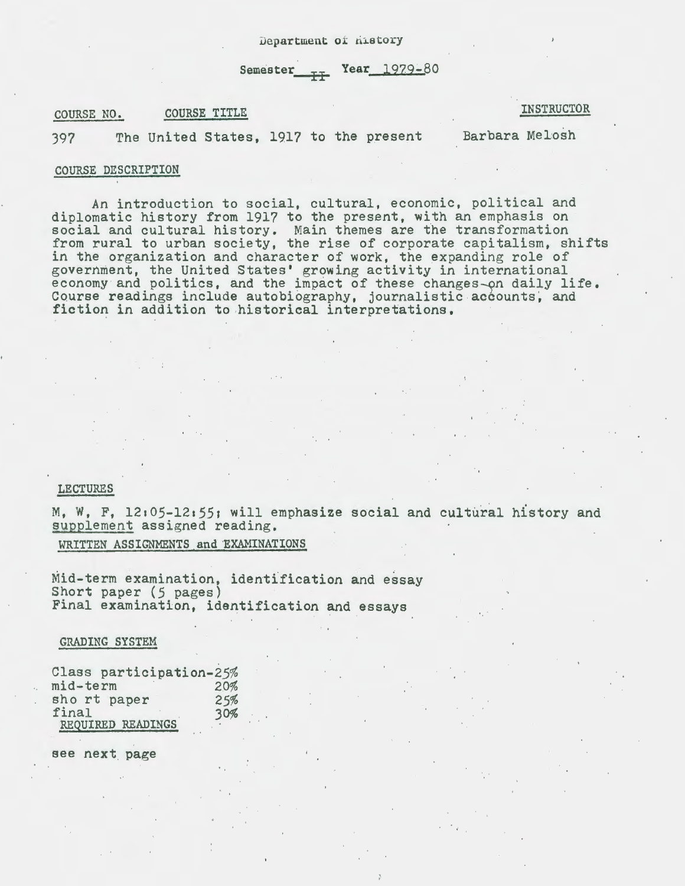Semester  $_{xx}$  Year 1979-80

## COURSE NO. COURSE TITLE

**INSTRUCTOR** 

397 The United States, 1917 to the present

Barbara Melosh

## COURSE DESCRIPTION

An introduction to social, cultural, economic, political and diplomatic history from 1917 to the present, with an emphasis on social and cultural history. Main themes are the transformation from rural to urban society, the rise of corporate capitalism, shifts in the organization and character of work, the expanding role of government, the United States' growing activity in international economy and politics, and the impact of these changes-on daily life. Course readings include autobiography, journalistic accounts, and fiction in addition to historical interpretations.

## LECTURES

M, W, F,  $12:05-12:55$ ; will emphasize social and cultural history and supplement assigned reading.

WRITTEN ASSIGNMENTS and EXAMINATIONS

Mid-term examination, identification and essay Short paper (5 pages) Final examination, identification and essays

## GRADING SYSTEM

| Class participation-25% |     |
|-------------------------|-----|
| mid-term                | 20% |
| sho rt paper            | 25% |
| final                   | 30% |
| REQUIRED READINGS       |     |

see next. page